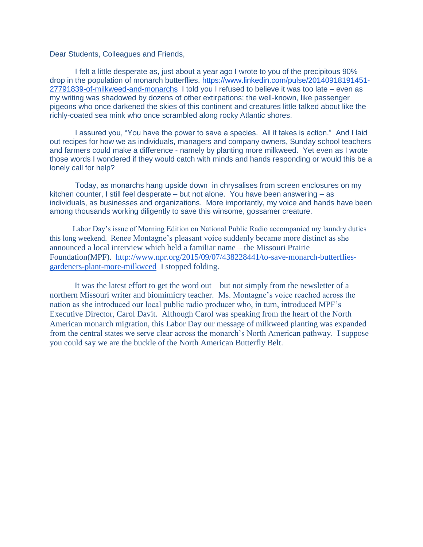Dear Students, Colleagues and Friends,

 I felt a little desperate as, just about a year ago I wrote to you of the precipitous 90% drop in the population of monarch butterflies. [https://www.linkedin.com/pulse/20140918191451-](https://www.linkedin.com/pulse/20140918191451-27791839-of-milkweed-and-monarchs) [27791839-of-milkweed-and-monarchs](https://www.linkedin.com/pulse/20140918191451-27791839-of-milkweed-and-monarchs) I told you I refused to believe it was too late – even as my writing was shadowed by dozens of other extirpations; the well-known, like passenger pigeons who once darkened the skies of this continent and creatures little talked about like the richly-coated sea mink who once scrambled along rocky Atlantic shores.

 I assured you, "You have the power to save a species. All it takes is action." And I laid out recipes for how we as individuals, managers and company owners, Sunday school teachers and farmers could make a difference - namely by planting more milkweed. Yet even as I wrote those words I wondered if they would catch with minds and hands responding or would this be a lonely call for help?

 Today, as monarchs hang upside down in chrysalises from screen enclosures on my kitchen counter, I still feel desperate – but not alone. You have been answering – as individuals, as businesses and organizations. More importantly, my voice and hands have been among thousands working diligently to save this winsome, gossamer creature.

 Labor Day's issue of Morning Edition on National Public Radio accompanied my laundry duties this long weekend. Renee Montagne's pleasant voice suddenly became more distinct as she announced a local interview which held a familiar name – the Missouri Prairie Foundation(MPF). [http://www.npr.org/2015/09/07/438228441/to-save-monarch-butterflies](http://www.npr.org/2015/09/07/438228441/to-save-monarch-butterflies-gardeners-plant-more-milkweed)[gardeners-plant-more-milkweed](http://www.npr.org/2015/09/07/438228441/to-save-monarch-butterflies-gardeners-plant-more-milkweed) I stopped folding.

It was the latest effort to get the word out – but not simply from the newsletter of a northern Missouri writer and biomimicry teacher. Ms. Montagne's voice reached across the nation as she introduced our local public radio producer who, in turn, introduced MPF's Executive Director, Carol Davit. Although Carol was speaking from the heart of the North American monarch migration, this Labor Day our message of milkweed planting was expanded from the central states we serve clear across the monarch's North American pathway. I suppose you could say we are the buckle of the North American Butterfly Belt.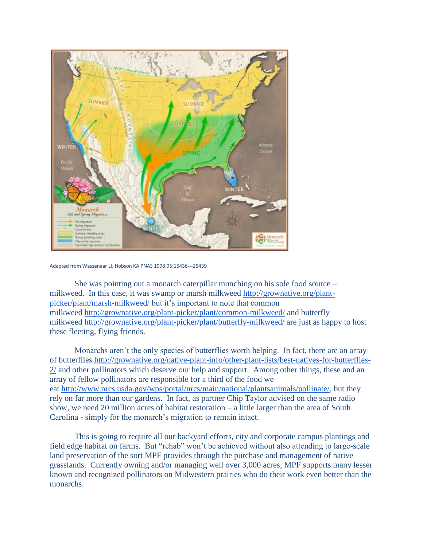

Adapted from Wassenaar LI, Hobson KA PNAS 1998;95:15436--‐15439

She was pointing out a monarch caterpillar munching on his sole food source – milkweed. In this case, it was swamp or marsh milkweed [http://grownative.org/plant](http://grownative.org/plant-picker/plant/marsh-milkweed/)[picker/plant/marsh-milkweed/](http://grownative.org/plant-picker/plant/marsh-milkweed/) but it's important to note that common milkweed <http://grownative.org/plant-picker/plant/common-milkweed/> and butterfly milkweed <http://grownative.org/plant-picker/plant/butterfly-milkweed/> are just as happy to host these fleeting, flying friends.

Monarchs aren't the only species of butterflies worth helping. In fact, there are an array of butterflies [http://grownative.org/native-plant-info/other-plant-lists/best-natives-for-butterflies-](http://grownative.org/native-plant-info/other-plant-lists/best-natives-for-butterflies-2/)[2/](http://grownative.org/native-plant-info/other-plant-lists/best-natives-for-butterflies-2/) and other pollinators which deserve our help and support. Among other things, these and an array of fellow pollinators are responsible for a third of the food we eat [http://www.nrcs.usda.gov/wps/portal/nrcs/main/national/plantsanimals/pollinate/,](http://www.nrcs.usda.gov/wps/portal/nrcs/main/national/plantsanimals/pollinate/) but they rely on far more than our gardens. In fact, as partner Chip Taylor advised on the same radio show, we need 20 million acres of habitat restoration – a little larger than the area of South Carolina - simply for the monarch's migration to remain intact.

This is going to require all our backyard efforts, city and corporate campus plantings and field edge habitat on farms. But "rehab" won't be achieved without also attending to large-scale land preservation of the sort MPF provides through the purchase and management of native grasslands. Currently owning and/or managing well over 3,000 acres, MPF supports many lesser known and recognized pollinators on Midwestern prairies who do their work even better than the monarchs.